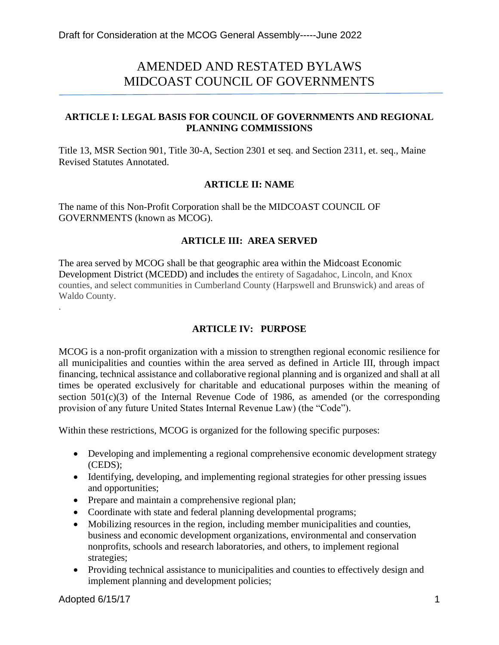# AMENDED AND RESTATED BYLAWS MIDCOAST COUNCIL OF GOVERNMENTS

## **ARTICLE I: LEGAL BASIS FOR COUNCIL OF GOVERNMENTS AND REGIONAL PLANNING COMMISSIONS**

Title 13, MSR Section 901, Title 30-A, Section 2301 et seq. and Section 2311, et. seq., Maine Revised Statutes Annotated.

#### **ARTICLE II: NAME**

The name of this Non-Profit Corporation shall be the MIDCOAST COUNCIL OF GOVERNMENTS (known as MCOG).

#### **ARTICLE III: AREA SERVED**

The area served by MCOG shall be that geographic area within the Midcoast Economic Development District (MCEDD) and includes the entirety of Sagadahoc, Lincoln, and Knox counties, and select communities in Cumberland County (Harpswell and Brunswick) and areas of Waldo County.

## **ARTICLE IV: PURPOSE**

MCOG is a non-profit organization with a mission to strengthen regional economic resilience for all municipalities and counties within the area served as defined in Article III, through impact financing, technical assistance and collaborative regional planning and is organized and shall at all times be operated exclusively for charitable and educational purposes within the meaning of section  $501(c)(3)$  of the Internal Revenue Code of 1986, as amended (or the corresponding provision of any future United States Internal Revenue Law) (the "Code").

Within these restrictions, MCOG is organized for the following specific purposes:

- Developing and implementing a regional comprehensive economic development strategy (CEDS);
- Identifying, developing, and implementing regional strategies for other pressing issues and opportunities;
- Prepare and maintain a comprehensive regional plan;
- Coordinate with state and federal planning developmental programs;
- Mobilizing resources in the region, including member municipalities and counties, business and economic development organizations, environmental and conservation nonprofits, schools and research laboratories, and others, to implement regional strategies;
- Providing technical assistance to municipalities and counties to effectively design and implement planning and development policies;

.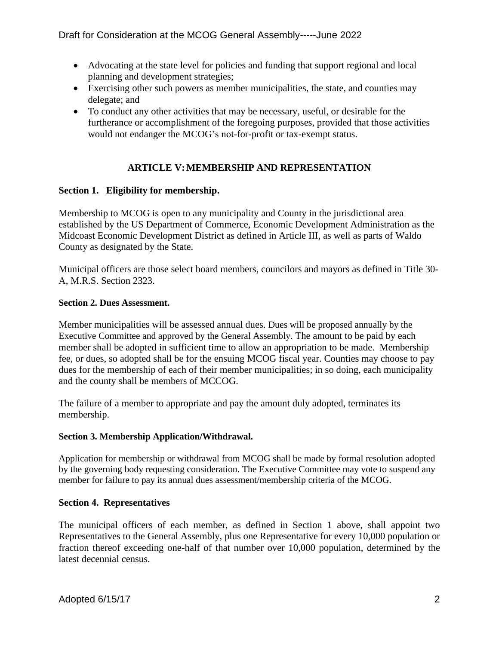- Advocating at the state level for policies and funding that support regional and local planning and development strategies;
- Exercising other such powers as member municipalities, the state, and counties may delegate; and
- To conduct any other activities that may be necessary, useful, or desirable for the furtherance or accomplishment of the foregoing purposes, provided that those activities would not endanger the MCOG's not-for-profit or tax-exempt status.

# **ARTICLE V:MEMBERSHIP AND REPRESENTATION**

# **Section 1. Eligibility for membership.**

Membership to MCOG is open to any municipality and County in the jurisdictional area established by the US Department of Commerce, Economic Development Administration as the Midcoast Economic Development District as defined in Article III, as well as parts of Waldo County as designated by the State.

Municipal officers are those select board members, councilors and mayors as defined in Title 30- A, M.R.S. Section 2323.

## **Section 2. Dues Assessment.**

Member municipalities will be assessed annual dues. Dues will be proposed annually by the Executive Committee and approved by the General Assembly. The amount to be paid by each member shall be adopted in sufficient time to allow an appropriation to be made. Membership fee, or dues, so adopted shall be for the ensuing MCOG fiscal year. Counties may choose to pay dues for the membership of each of their member municipalities; in so doing, each municipality and the county shall be members of MCCOG.

The failure of a member to appropriate and pay the amount duly adopted, terminates its membership.

## **Section 3. Membership Application/Withdrawal.**

Application for membership or withdrawal from MCOG shall be made by formal resolution adopted by the governing body requesting consideration. The Executive Committee may vote to suspend any member for failure to pay its annual dues assessment/membership criteria of the MCOG.

#### **Section 4. Representatives**

The municipal officers of each member, as defined in Section 1 above, shall appoint two Representatives to the General Assembly, plus one Representative for every 10,000 population or fraction thereof exceeding one-half of that number over 10,000 population, determined by the latest decennial census.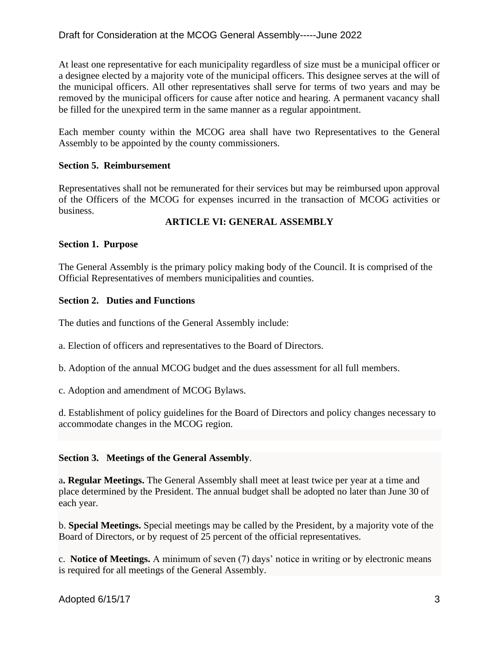# Draft for Consideration at the MCOG General Assembly-----June 2022

At least one representative for each municipality regardless of size must be a municipal officer or a designee elected by a majority vote of the municipal officers. This designee serves at the will of the municipal officers. All other representatives shall serve for terms of two years and may be removed by the municipal officers for cause after notice and hearing. A permanent vacancy shall be filled for the unexpired term in the same manner as a regular appointment.

Each member county within the MCOG area shall have two Representatives to the General Assembly to be appointed by the county commissioners.

#### **Section 5. Reimbursement**

Representatives shall not be remunerated for their services but may be reimbursed upon approval of the Officers of the MCOG for expenses incurred in the transaction of MCOG activities or business.

## **ARTICLE VI: GENERAL ASSEMBLY**

#### **Section 1. Purpose**

The General Assembly is the primary policy making body of the Council. It is comprised of the Official Representatives of members municipalities and counties.

#### **Section 2. Duties and Functions**

The duties and functions of the General Assembly include:

a. Election of officers and representatives to the Board of Directors.

b. Adoption of the annual MCOG budget and the dues assessment for all full members.

c. Adoption and amendment of MCOG Bylaws.

d. Establishment of policy guidelines for the Board of Directors and policy changes necessary to accommodate changes in the MCOG region.

#### **Section 3. Meetings of the General Assembly**.

a**. Regular Meetings.** The General Assembly shall meet at least twice per year at a time and place determined by the President. The annual budget shall be adopted no later than June 30 of each year.

b. **Special Meetings.** Special meetings may be called by the President, by a majority vote of the Board of Directors, or by request of 25 percent of the official representatives.

c. **Notice of Meetings.** A minimum of seven (7) days' notice in writing or by electronic means is required for all meetings of the General Assembly.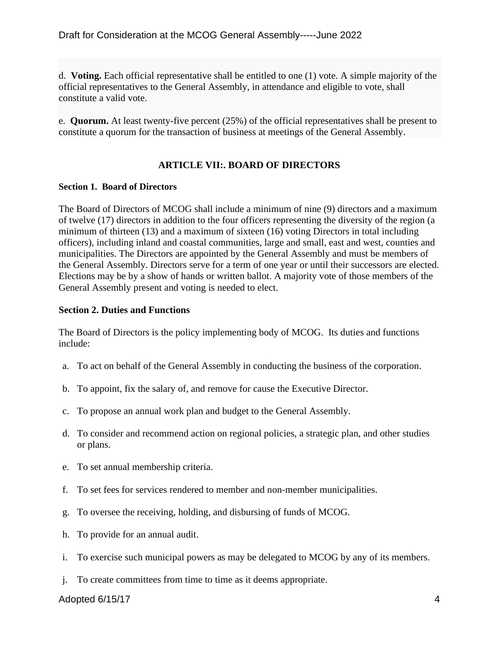d. **Voting.** Each official representative shall be entitled to one (1) vote. A simple majority of the official representatives to the General Assembly, in attendance and eligible to vote, shall constitute a valid vote.

e. **Quorum.** At least twenty-five percent (25%) of the official representatives shall be present to constitute a quorum for the transaction of business at meetings of the General Assembly.

# **ARTICLE VII:. BOARD OF DIRECTORS**

#### **Section 1. Board of Directors**

The Board of Directors of MCOG shall include a minimum of nine (9) directors and a maximum of twelve (17) directors in addition to the four officers representing the diversity of the region (a minimum of thirteen (13) and a maximum of sixteen (16) voting Directors in total including officers), including inland and coastal communities, large and small, east and west, counties and municipalities. The Directors are appointed by the General Assembly and must be members of the General Assembly. Directors serve for a term of one year or until their successors are elected. Elections may be by a show of hands or written ballot. A majority vote of those members of the General Assembly present and voting is needed to elect.

#### **Section 2. Duties and Functions**

The Board of Directors is the policy implementing body of MCOG. Its duties and functions include:

- a. To act on behalf of the General Assembly in conducting the business of the corporation.
- b. To appoint, fix the salary of, and remove for cause the Executive Director.
- c. To propose an annual work plan and budget to the General Assembly.
- d. To consider and recommend action on regional policies, a strategic plan, and other studies or plans.
- e. To set annual membership criteria.
- f. To set fees for services rendered to member and non-member municipalities.
- g. To oversee the receiving, holding, and disbursing of funds of MCOG.
- h. To provide for an annual audit.
- i. To exercise such municipal powers as may be delegated to MCOG by any of its members.
- j. To create committees from time to time as it deems appropriate.

## Adopted 6/15/17 4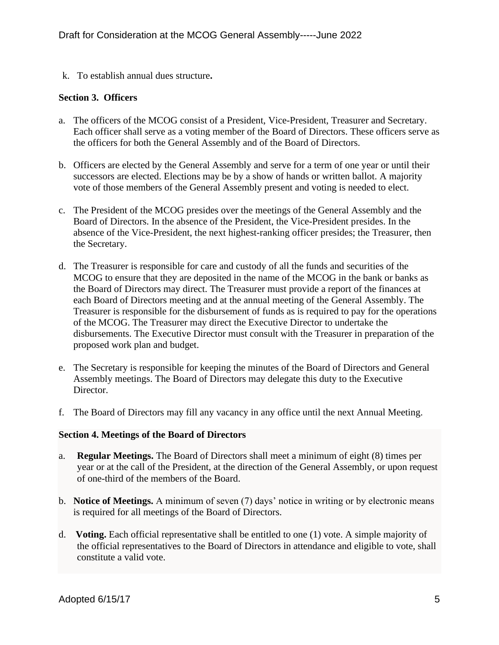k. To establish annual dues structure**.**

#### **Section 3. Officers**

- a. The officers of the MCOG consist of a President, Vice-President, Treasurer and Secretary. Each officer shall serve as a voting member of the Board of Directors. These officers serve as the officers for both the General Assembly and of the Board of Directors.
- b. Officers are elected by the General Assembly and serve for a term of one year or until their successors are elected. Elections may be by a show of hands or written ballot. A majority vote of those members of the General Assembly present and voting is needed to elect.
- c. The President of the MCOG presides over the meetings of the General Assembly and the Board of Directors. In the absence of the President, the Vice-President presides. In the absence of the Vice-President, the next highest-ranking officer presides; the Treasurer, then the Secretary.
- d. The Treasurer is responsible for care and custody of all the funds and securities of the MCOG to ensure that they are deposited in the name of the MCOG in the bank or banks as the Board of Directors may direct. The Treasurer must provide a report of the finances at each Board of Directors meeting and at the annual meeting of the General Assembly. The Treasurer is responsible for the disbursement of funds as is required to pay for the operations of the MCOG. The Treasurer may direct the Executive Director to undertake the disbursements. The Executive Director must consult with the Treasurer in preparation of the proposed work plan and budget.
- e. The Secretary is responsible for keeping the minutes of the Board of Directors and General Assembly meetings. The Board of Directors may delegate this duty to the Executive Director.
- f. The Board of Directors may fill any vacancy in any office until the next Annual Meeting.

## **Section 4. Meetings of the Board of Directors**

- a. **Regular Meetings.** The Board of Directors shall meet a minimum of eight (8) times per year or at the call of the President, at the direction of the General Assembly, or upon request of one-third of the members of the Board.
- b. **Notice of Meetings.** A minimum of seven (7) days' notice in writing or by electronic means is required for all meetings of the Board of Directors.
- d. **Voting.** Each official representative shall be entitled to one (1) vote. A simple majority of the official representatives to the Board of Directors in attendance and eligible to vote, shall constitute a valid vote.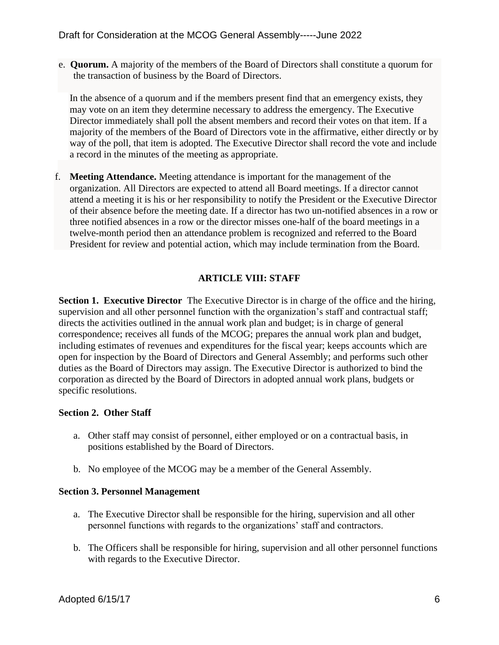e. **Quorum.** A majority of the members of the Board of Directors shall constitute a quorum for the transaction of business by the Board of Directors.

In the absence of a quorum and if the members present find that an emergency exists, they may vote on an item they determine necessary to address the emergency. The Executive Director immediately shall poll the absent members and record their votes on that item. If a majority of the members of the Board of Directors vote in the affirmative, either directly or by way of the poll, that item is adopted. The Executive Director shall record the vote and include a record in the minutes of the meeting as appropriate.

f. **Meeting Attendance.** Meeting attendance is important for the management of the organization. All Directors are expected to attend all Board meetings. If a director cannot attend a meeting it is his or her responsibility to notify the President or the Executive Director of their absence before the meeting date. If a director has two un-notified absences in a row or three notified absences in a row or the director misses one-half of the board meetings in a twelve-month period then an attendance problem is recognized and referred to the Board President for review and potential action, which may include termination from the Board.

# **ARTICLE VIII: STAFF**

**Section 1. Executive Director** The Executive Director is in charge of the office and the hiring, supervision and all other personnel function with the organization's staff and contractual staff; directs the activities outlined in the annual work plan and budget; is in charge of general correspondence; receives all funds of the MCOG; prepares the annual work plan and budget, including estimates of revenues and expenditures for the fiscal year; keeps accounts which are open for inspection by the Board of Directors and General Assembly; and performs such other duties as the Board of Directors may assign. The Executive Director is authorized to bind the corporation as directed by the Board of Directors in adopted annual work plans, budgets or specific resolutions.

## **Section 2. Other Staff**

- a. Other staff may consist of personnel, either employed or on a contractual basis, in positions established by the Board of Directors.
- b. No employee of the MCOG may be a member of the General Assembly.

## **Section 3. Personnel Management**

- a. The Executive Director shall be responsible for the hiring, supervision and all other personnel functions with regards to the organizations' staff and contractors.
- b. The Officers shall be responsible for hiring, supervision and all other personnel functions with regards to the Executive Director.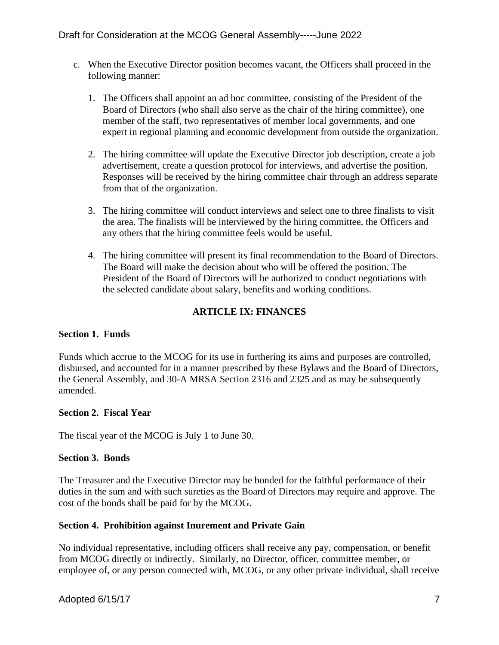- c. When the Executive Director position becomes vacant, the Officers shall proceed in the following manner:
	- 1. The Officers shall appoint an ad hoc committee, consisting of the President of the Board of Directors (who shall also serve as the chair of the hiring committee), one member of the staff, two representatives of member local governments, and one expert in regional planning and economic development from outside the organization.
	- 2. The hiring committee will update the Executive Director job description, create a job advertisement, create a question protocol for interviews, and advertise the position. Responses will be received by the hiring committee chair through an address separate from that of the organization.
	- 3. The hiring committee will conduct interviews and select one to three finalists to visit the area. The finalists will be interviewed by the hiring committee, the Officers and any others that the hiring committee feels would be useful.
	- 4. The hiring committee will present its final recommendation to the Board of Directors. The Board will make the decision about who will be offered the position. The President of the Board of Directors will be authorized to conduct negotiations with the selected candidate about salary, benefits and working conditions.

# **ARTICLE IX: FINANCES**

## **Section 1. Funds**

Funds which accrue to the MCOG for its use in furthering its aims and purposes are controlled, disbursed, and accounted for in a manner prescribed by these Bylaws and the Board of Directors, the General Assembly, and 30-A MRSA Section 2316 and 2325 and as may be subsequently amended.

## **Section 2. Fiscal Year**

The fiscal year of the MCOG is July 1 to June 30.

#### **Section 3. Bonds**

The Treasurer and the Executive Director may be bonded for the faithful performance of their duties in the sum and with such sureties as the Board of Directors may require and approve. The cost of the bonds shall be paid for by the MCOG.

## **Section 4. Prohibition against Inurement and Private Gain**

No individual representative, including officers shall receive any pay, compensation, or benefit from MCOG directly or indirectly. Similarly, no Director, officer, committee member, or employee of, or any person connected with, MCOG, or any other private individual, shall receive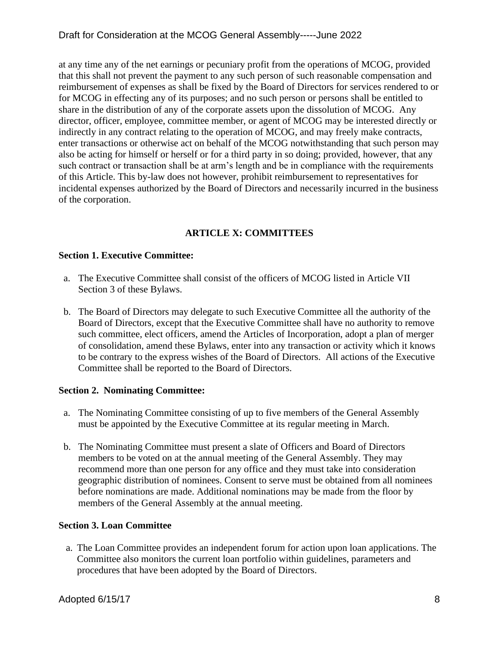at any time any of the net earnings or pecuniary profit from the operations of MCOG, provided that this shall not prevent the payment to any such person of such reasonable compensation and reimbursement of expenses as shall be fixed by the Board of Directors for services rendered to or for MCOG in effecting any of its purposes; and no such person or persons shall be entitled to share in the distribution of any of the corporate assets upon the dissolution of MCOG. Any director, officer, employee, committee member, or agent of MCOG may be interested directly or indirectly in any contract relating to the operation of MCOG, and may freely make contracts, enter transactions or otherwise act on behalf of the MCOG notwithstanding that such person may also be acting for himself or herself or for a third party in so doing; provided, however, that any such contract or transaction shall be at arm's length and be in compliance with the requirements of this Article. This by-law does not however, prohibit reimbursement to representatives for incidental expenses authorized by the Board of Directors and necessarily incurred in the business of the corporation.

# **ARTICLE X: COMMITTEES**

# **Section 1. Executive Committee:**

- a. The Executive Committee shall consist of the officers of MCOG listed in Article VII Section 3 of these Bylaws.
- b. The Board of Directors may delegate to such Executive Committee all the authority of the Board of Directors, except that the Executive Committee shall have no authority to remove such committee, elect officers, amend the Articles of Incorporation, adopt a plan of merger of consolidation, amend these Bylaws, enter into any transaction or activity which it knows to be contrary to the express wishes of the Board of Directors. All actions of the Executive Committee shall be reported to the Board of Directors.

## **Section 2. Nominating Committee:**

- a. The Nominating Committee consisting of up to five members of the General Assembly must be appointed by the Executive Committee at its regular meeting in March.
- b. The Nominating Committee must present a slate of Officers and Board of Directors members to be voted on at the annual meeting of the General Assembly. They may recommend more than one person for any office and they must take into consideration geographic distribution of nominees. Consent to serve must be obtained from all nominees before nominations are made. Additional nominations may be made from the floor by members of the General Assembly at the annual meeting.

# **Section 3. Loan Committee**

a. The Loan Committee provides an independent forum for action upon loan applications. The Committee also monitors the current loan portfolio within guidelines, parameters and procedures that have been adopted by the Board of Directors.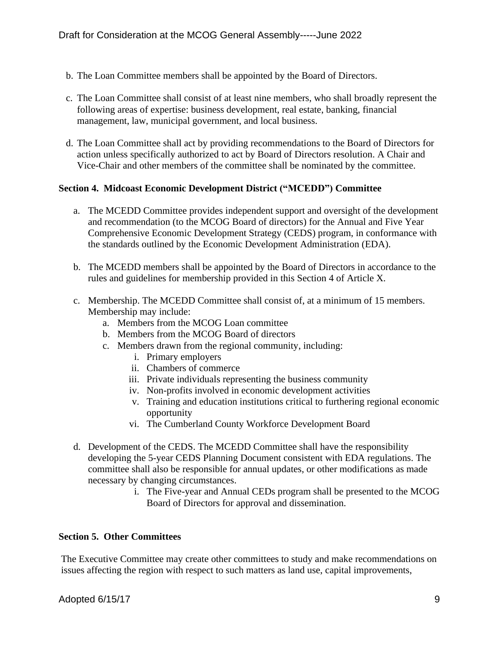- b. The Loan Committee members shall be appointed by the Board of Directors.
- c. The Loan Committee shall consist of at least nine members, who shall broadly represent the following areas of expertise: business development, real estate, banking, financial management, law, municipal government, and local business.
- d. The Loan Committee shall act by providing recommendations to the Board of Directors for action unless specifically authorized to act by Board of Directors resolution. A Chair and Vice-Chair and other members of the committee shall be nominated by the committee.

#### **Section 4. Midcoast Economic Development District ("MCEDD") Committee**

- a. The MCEDD Committee provides independent support and oversight of the development and recommendation (to the MCOG Board of directors) for the Annual and Five Year Comprehensive Economic Development Strategy (CEDS) program, in conformance with the standards outlined by the Economic Development Administration (EDA).
- b. The MCEDD members shall be appointed by the Board of Directors in accordance to the rules and guidelines for membership provided in this Section 4 of Article X.
- c. Membership. The MCEDD Committee shall consist of, at a minimum of 15 members. Membership may include:
	- a. Members from the MCOG Loan committee
	- b. Members from the MCOG Board of directors
	- c. Members drawn from the regional community, including:
		- i. Primary employers
		- ii. Chambers of commerce
		- iii. Private individuals representing the business community
		- iv. Non-profits involved in economic development activities
		- v. Training and education institutions critical to furthering regional economic opportunity
		- vi. The Cumberland County Workforce Development Board
- d. Development of the CEDS. The MCEDD Committee shall have the responsibility developing the 5-year CEDS Planning Document consistent with EDA regulations. The committee shall also be responsible for annual updates, or other modifications as made necessary by changing circumstances.
	- i. The Five-year and Annual CEDs program shall be presented to the MCOG Board of Directors for approval and dissemination.

#### **Section 5. Other Committees**

The Executive Committee may create other committees to study and make recommendations on issues affecting the region with respect to such matters as land use, capital improvements,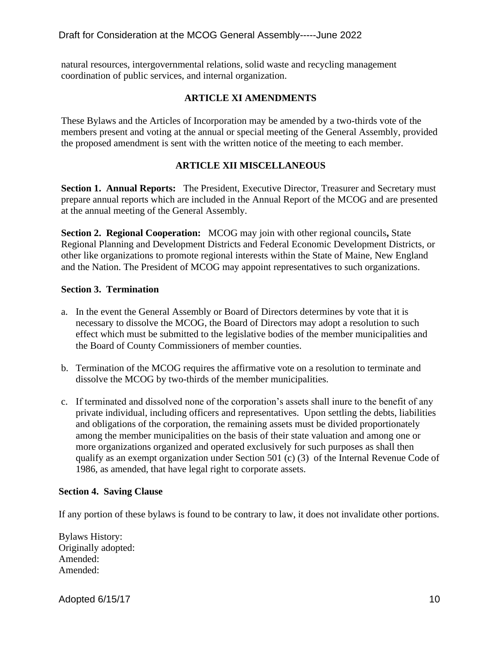natural resources, intergovernmental relations, solid waste and recycling management coordination of public services, and internal organization.

# **ARTICLE XI AMENDMENTS**

These Bylaws and the Articles of Incorporation may be amended by a two-thirds vote of the members present and voting at the annual or special meeting of the General Assembly, provided the proposed amendment is sent with the written notice of the meeting to each member.

# **ARTICLE XII MISCELLANEOUS**

**Section 1. Annual Reports:** The President, Executive Director, Treasurer and Secretary must prepare annual reports which are included in the Annual Report of the MCOG and are presented at the annual meeting of the General Assembly.

**Section 2. Regional Cooperation:** MCOG may join with other regional councils**,** State Regional Planning and Development Districts and Federal Economic Development Districts, or other like organizations to promote regional interests within the State of Maine, New England and the Nation. The President of MCOG may appoint representatives to such organizations.

## **Section 3. Termination**

- a. In the event the General Assembly or Board of Directors determines by vote that it is necessary to dissolve the MCOG, the Board of Directors may adopt a resolution to such effect which must be submitted to the legislative bodies of the member municipalities and the Board of County Commissioners of member counties.
- b. Termination of the MCOG requires the affirmative vote on a resolution to terminate and dissolve the MCOG by two-thirds of the member municipalities.
- c. If terminated and dissolved none of the corporation's assets shall inure to the benefit of any private individual, including officers and representatives. Upon settling the debts, liabilities and obligations of the corporation, the remaining assets must be divided proportionately among the member municipalities on the basis of their state valuation and among one or more organizations organized and operated exclusively for such purposes as shall then qualify as an exempt organization under Section 501 (c) (3) of the Internal Revenue Code of 1986, as amended, that have legal right to corporate assets.

## **Section 4. Saving Clause**

If any portion of these bylaws is found to be contrary to law, it does not invalidate other portions.

Bylaws History: Originally adopted: Amended: Amended:

Adopted 6/15/17 10